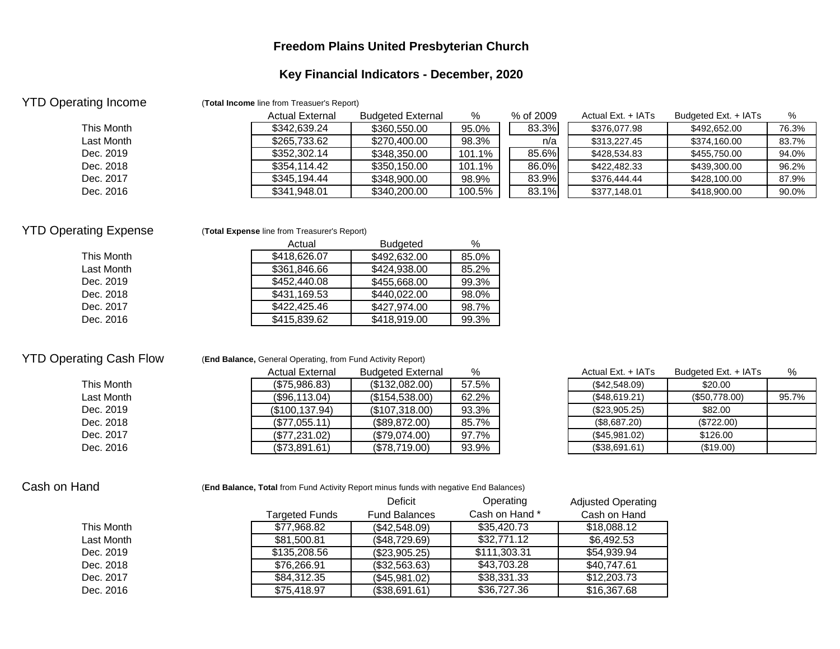## **Freedom Plains United Presbyterian Church**

# **Key Financial Indicators - December, 2020**

| <b>Actual External</b> | <b>Budgeted External</b> | %                                          | % of 2009 | Actual Ext. + IATs | Budgeted Ext. + IATs | %     |
|------------------------|--------------------------|--------------------------------------------|-----------|--------------------|----------------------|-------|
| \$342,639.24           | \$360,550.00             | 95.0%                                      | 83.3%     | \$376,077.98       | \$492,652.00         | 76.3% |
| \$265,733.62           | \$270,400.00             | 98.3%                                      | n/a       | \$313,227.45       | \$374,160.00         | 83.7% |
| \$352,302.14           | \$348,350.00             | 101.1%                                     | 85.6%     | \$428,534.83       | \$455,750.00         | 94.0% |
| \$354.114.42           | \$350,150.00             | 101.1%                                     | 86.0%     | \$422,482,33       | \$439,300.00         | 96.2% |
| \$345,194,44           | \$348,900.00             | 98.9%                                      | 83.9%     | \$376,444,44       | \$428,100.00         | 87.9% |
| \$341,948.01           | \$340,200.00             | 100.5%                                     | 83.1%     | \$377,148.01       | \$418,900.00         | 90.0% |
|                        |                          | (Total Income line from Treasuer's Report) |           |                    |                      |       |

### YTD Operating Expense (**Total Expense** line from Treasurer's Report)

|            | Actual       | <b>Budgeted</b> | $\%$  |
|------------|--------------|-----------------|-------|
| This Month | \$418,626,07 | \$492,632,00    | 85.0% |
| Last Month | \$361,846.66 | \$424,938.00    | 85.2% |
| Dec. 2019  | \$452,440.08 | \$455,668.00    | 99.3% |
| Dec. 2018  | \$431,169.53 | \$440,022,00    | 98.0% |
| Dec. 2017  | \$422,425,46 | \$427,974,00    | 98.7% |
| Dec. 2016  | \$415,839,62 | \$418,919,00    | 99.3% |

## YTD Operating Cash Flow (**End Balance,** General Operating, from Fund Activity Report)

|            | <b>Actual External</b> | <b>Budgeted External</b> | %     | Actual Ext. + IATs | Budgeted Ext. + IATs | %     |
|------------|------------------------|--------------------------|-------|--------------------|----------------------|-------|
| This Month | (\$75,986.83)          | (\$132,082.00)           | 57.5% | (\$42,548.09)      | \$20.00              |       |
| Last Month | (\$96,113.04)          | (\$154,538.00)           | 62.2% | (\$48,619.21)      | (\$50,778.00)        | 95.7% |
| Dec. 2019  | (S100.137.94)          | (\$107,318.00)           | 93.3% | $(\$23,905.25)$    | \$82.00              |       |
| Dec. 2018  | (\$77.055.11)          | (S89.872.00)             | 85.7% | (S8.687.20)        | (\$722.00)           |       |
| Dec. 2017  | (\$77,231.02)          | (S79.074.00)             | 97.7% | (\$45,981.02)      | \$126.00             |       |
| Dec. 2016  | (\$73,891.61)          | (\$78,719.00)            | 93.9% | (\$38,691.61)      | (\$19.00)            |       |

| Actual Ext. + IATs | Budgeted Ext. + IATs | ℅     |
|--------------------|----------------------|-------|
| (\$42,548.09)      | \$20.00              |       |
| (\$48,619.21)      | (\$50,778.00)        | 95.7% |
| (\$23,905.25)      | \$82.00              |       |
| (\$8,687.20)       | (\$722.00)           |       |
| (\$45,981.02)      | \$126.00             |       |
| (\$38,691.61)      | (\$19.00)            |       |

### Cash on Hand **Fand Cash on Hand (End Balance, Total** from Fund Activity Report minus funds with negative End Balances)

|            |                | Deficit              | Operating      | <b>Adjusted Operating</b> |
|------------|----------------|----------------------|----------------|---------------------------|
|            | Targeted Funds | <b>Fund Balances</b> | Cash on Hand * | Cash on Hand              |
| This Month | \$77,968.82    | (\$42,548.09)        | \$35,420.73    | \$18,088.12               |
| Last Month | \$81,500.81    | (\$48,729.69)        | \$32,771.12    | \$6,492.53                |
| Dec. 2019  | \$135,208.56   | (\$23,905.25)        | \$111,303.31   | \$54,939.94               |
| Dec. 2018  | \$76,266.91    | (\$32,563.63)        | \$43,703.28    | \$40,747.61               |
| Dec. 2017  | \$84,312.35    | (\$45,981.02)        | \$38,331.33    | \$12,203.73               |
| Dec. 2016  | \$75,418.97    | (\$38,691.61)        | \$36,727.36    | \$16,367.68               |